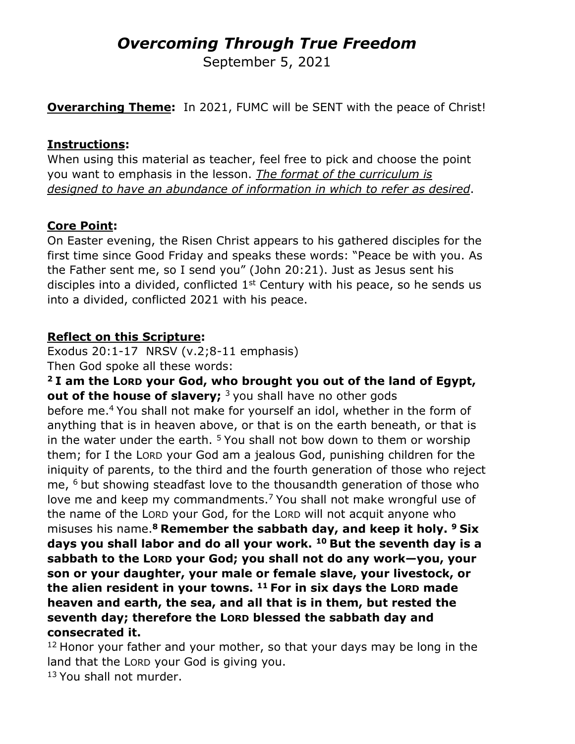# *Overcoming Through True Freedom*

September 5, 2021

**Overarching Theme:** In 2021, FUMC will be SENT with the peace of Christ!

#### **Instructions:**

When using this material as teacher, feel free to pick and choose the point you want to emphasis in the lesson. *The format of the curriculum is designed to have an abundance of information in which to refer as desired*.

#### **Core Point:**

On Easter evening, the Risen Christ appears to his gathered disciples for the first time since Good Friday and speaks these words: "Peace be with you. As the Father sent me, so I send you" (John 20:21). Just as Jesus sent his disciples into a divided, conflicted  $1<sup>st</sup>$  Century with his peace, so he sends us into a divided, conflicted 2021 with his peace.

## **Reflect on this Scripture:**

Exodus 20:1-17 NRSV (v.2;8-11 emphasis) Then God spoke all these words:

**<sup>2</sup> I am the LORD your God, who brought you out of the land of Egypt, out of the house of slavery;** <sup>3</sup> you shall have no other gods before me.4 You shall not make for yourself an idol, whether in the form of anything that is in heaven above, or that is on the earth beneath, or that is in the water under the earth.  $5$  You shall not bow down to them or worship them; for I the LORD your God am a jealous God, punishing children for the iniquity of parents, to the third and the fourth generation of those who reject me, <sup>6</sup> but showing steadfast love to the thousandth generation of those who love me and keep my commandments.<sup>7</sup> You shall not make wrongful use of the name of the LORD your God, for the LORD will not acquit anyone who misuses his name.**<sup>8</sup> Remember the sabbath day, and keep it holy. <sup>9</sup> Six days you shall labor and do all your work. <sup>10</sup> But the seventh day is a sabbath to the LORD your God; you shall not do any work—you, your son or your daughter, your male or female slave, your livestock, or the alien resident in your towns. <sup>11</sup> For in six days the LORD made heaven and earth, the sea, and all that is in them, but rested the seventh day; therefore the LORD blessed the sabbath day and consecrated it.**

 $12$  Honor your father and your mother, so that your days may be long in the land that the LORD your God is giving you.

<sup>13</sup> You shall not murder.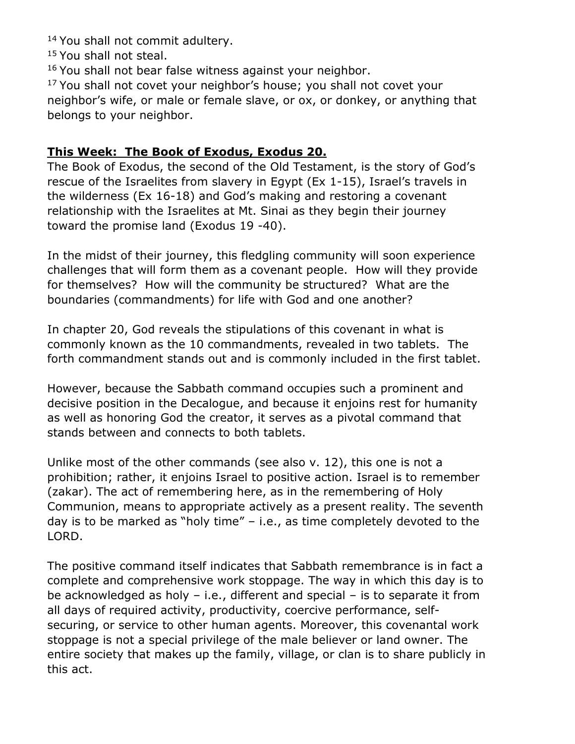14 You shall not commit adultery.

<sup>15</sup> You shall not steal.

<sup>16</sup> You shall not bear false witness against your neighbor.

<sup>17</sup> You shall not covet your neighbor's house; you shall not covet your neighbor's wife, or male or female slave, or ox, or donkey, or anything that belongs to your neighbor.

#### **This Week: The Book of Exodus, Exodus 20.**

The Book of Exodus, the second of the Old Testament, is the story of God's rescue of the Israelites from slavery in Egypt (Ex 1-15), Israel's travels in the wilderness (Ex 16-18) and God's making and restoring a covenant relationship with the Israelites at Mt. Sinai as they begin their journey toward the promise land (Exodus 19 -40).

In the midst of their journey, this fledgling community will soon experience challenges that will form them as a covenant people. How will they provide for themselves? How will the community be structured? What are the boundaries (commandments) for life with God and one another?

In chapter 20, God reveals the stipulations of this covenant in what is commonly known as the 10 commandments, revealed in two tablets. The forth commandment stands out and is commonly included in the first tablet.

However, because the Sabbath command occupies such a prominent and decisive position in the Decalogue, and because it enjoins rest for humanity as well as honoring God the creator, it serves as a pivotal command that stands between and connects to both tablets.

Unlike most of the other commands (see also v. 12), this one is not a prohibition; rather, it enjoins Israel to positive action. Israel is to remember (zakar). The act of remembering here, as in the remembering of Holy Communion, means to appropriate actively as a present reality. The seventh day is to be marked as "holy time" – i.e., as time completely devoted to the LORD.

The positive command itself indicates that Sabbath remembrance is in fact a complete and comprehensive work stoppage. The way in which this day is to be acknowledged as holy – i.e., different and special – is to separate it from all days of required activity, productivity, coercive performance, selfsecuring, or service to other human agents. Moreover, this covenantal work stoppage is not a special privilege of the male believer or land owner. The entire society that makes up the family, village, or clan is to share publicly in this act.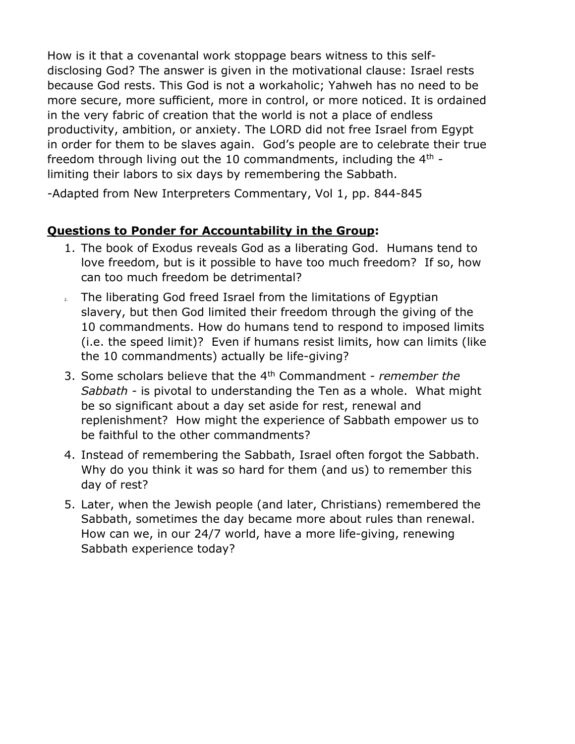How is it that a covenantal work stoppage bears witness to this selfdisclosing God? The answer is given in the motivational clause: Israel rests because God rests. This God is not a workaholic; Yahweh has no need to be more secure, more sufficient, more in control, or more noticed. It is ordained in the very fabric of creation that the world is not a place of endless productivity, ambition, or anxiety. The LORD did not free Israel from Egypt in order for them to be slaves again. God's people are to celebrate their true freedom through living out the 10 commandments, including the  $4<sup>th</sup>$  limiting their labors to six days by remembering the Sabbath.

-Adapted from New Interpreters Commentary, Vol 1, pp. 844-845

## **Questions to Ponder for Accountability in the Group:**

- 1. The book of Exodus reveals God as a liberating God. Humans tend to love freedom, but is it possible to have too much freedom? If so, how can too much freedom be detrimental?
- 2. The liberating God freed Israel from the limitations of Egyptian slavery, but then God limited their freedom through the giving of the 10 commandments. How do humans tend to respond to imposed limits (i.e. the speed limit)? Even if humans resist limits, how can limits (like the 10 commandments) actually be life-giving?
- 3. Some scholars believe that the 4th Commandment *remember the Sabbath -* is pivotal to understanding the Ten as a whole. What might be so significant about a day set aside for rest, renewal and replenishment? How might the experience of Sabbath empower us to be faithful to the other commandments?
- 4. Instead of remembering the Sabbath, Israel often forgot the Sabbath. Why do you think it was so hard for them (and us) to remember this day of rest?
- 5. Later, when the Jewish people (and later, Christians) remembered the Sabbath, sometimes the day became more about rules than renewal. How can we, in our 24/7 world, have a more life-giving, renewing Sabbath experience today?